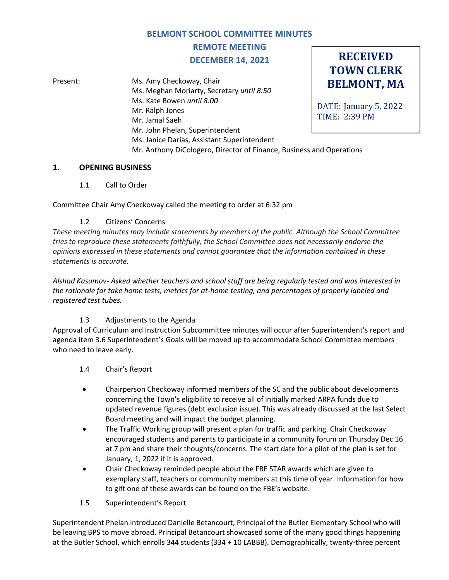## **BELMONT SCHOOL COMMITTEE MINUTES**

**REMOTE MEETING**

## **DECEMBER 14, 2021**

**RECEIVED TOWN CLERK**

**BELMONT, MA** DATE: January 5, 2022 TIME: 2:39 PM Present: Ms. Amy Checkoway, Chair Ms. Meghan Moriarty, Secretary *until 8:50* Ms. Kate Bowen *until 8:00* Mr. Ralph Jones Mr. Jamal Saeh Mr. John Phelan, Superintendent Ms. Janice Darias, Assistant Superintendent Mr. Anthony DiCologero, Director of Finance, Business and Operations

#### **1**. **OPENING BUSINESS**

1.1 Call to Order

Committee Chair Amy Checkoway called the meeting to order at 6:32 pm

## 1.2 Citizens' Concerns

*These meeting minutes may include statements by members of the public. Although the School Committee tries to reproduce these statements faithfully, the School Committee does not necessarily endorse the opinions expressed in these statements and cannot guarantee that the information contained in these statements is accurate.*

*Alshad Kasumov- Asked whether teachers and school staff are being regularly tested and was interested in the rationale for take home tests, metrics for at-home testing, and percentages of properly labeled and registered test tubes.*

## 1.3 Adjustments to the Agenda

Approval of Curriculum and Instruction Subcommittee minutes will occur after Superintendent's report and agenda item 3.6 Superintendent's Goals will be moved up to accommodate School Committee members who need to leave early.

#### 1.4 Chair's Report

- Chairperson Checkoway informed members of the SC and the public about developments concerning the Town's eligibility to receive all of initially marked ARPA funds due to updated revenue figures (debt exclusion issue). This was already discussed at the last Select Board meeting and will impact the budget planning.
- The Traffic Working group will present a plan for traffic and parking. Chair Checkoway encouraged students and parents to participate in a community forum on Thursday Dec 16 at 7 pm and share their thoughts/concerns. The start date for a pilot of the plan is set for January, 1, 2022 if it is approved.
- Chair Checkoway reminded people about the FBE STAR awards which are given to exemplary staff, teachers or community members at this time of year. Information for how to gift one of these awards can be found on the FBE's website.
- 1.5 Superintendent's Report

Superintendent Phelan introduced Danielle Betancourt, Principal of the Butler Elementary School who will be leaving BPS to move abroad. Principal Betancourt showcased some of the many good things happening at the Butler School, which enrolls 344 students (334 + 10 LABBB). Demographically, twenty-three percent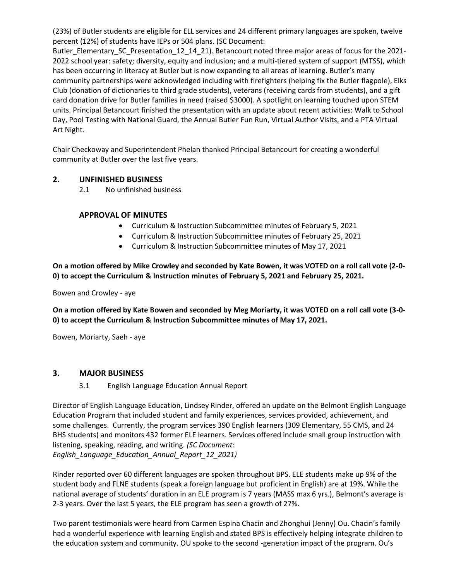(23%) of Butler students are eligible for ELL services and 24 different primary languages are spoken, twelve percent (12%) of students have IEPs or 504 plans. (SC Document:

Butler\_Elementary\_SC\_Presentation\_12\_14\_21). Betancourt noted three major areas of focus for the 2021-2022 school year: safety; diversity, equity and inclusion; and a multi-tiered system of support (MTSS), which has been occurring in literacy at Butler but is now expanding to all areas of learning. Butler's many community partnerships were acknowledged including with firefighters (helping fix the Butler flagpole), Elks Club (donation of dictionaries to third grade students), veterans (receiving cards from students), and a gift card donation drive for Butler families in need (raised \$3000). A spotlight on learning touched upon STEM units. Principal Betancourt finished the presentation with an update about recent activities: Walk to School Day, Pool Testing with National Guard, the Annual Butler Fun Run, Virtual Author Visits, and a PTA Virtual Art Night.

Chair Checkoway and Superintendent Phelan thanked Principal Betancourt for creating a wonderful community at Butler over the last five years.

## **2. UNFINISHED BUSINESS**

2.1 No unfinished business

#### **APPROVAL OF MINUTES**

- Curriculum & Instruction Subcommittee minutes of February 5, 2021
- Curriculum & Instruction Subcommittee minutes of February 25, 2021
- Curriculum & Instruction Subcommittee minutes of May 17, 2021

**On a motion offered by Mike Crowley and seconded by Kate Bowen, it was VOTED on a roll call vote (2-0- 0) to accept the Curriculum & Instruction minutes of February 5, 2021 and February 25, 2021.**

Bowen and Crowley - aye

**On a motion offered by Kate Bowen and seconded by Meg Moriarty, it was VOTED on a roll call vote (3-0- 0) to accept the Curriculum & Instruction Subcommittee minutes of May 17, 2021.**

Bowen, Moriarty, Saeh - aye

#### **3. MAJOR BUSINESS**

3.1 English Language Education Annual Report

Director of English Language Education, Lindsey Rinder, offered an update on the Belmont English Language Education Program that included student and family experiences, services provided, achievement, and some challenges. Currently, the program services 390 English learners (309 Elementary, 55 CMS, and 24 BHS students) and monitors 432 former ELE learners. Services offered include small group instruction with listening, speaking, reading, and writing. *(SC Document: English\_Language\_Education\_Annual\_Report\_12\_2021)*

Rinder reported over 60 different languages are spoken throughout BPS. ELE students make up 9% of the student body and FLNE students (speak a foreign language but proficient in English) are at 19%. While the national average of students' duration in an ELE program is 7 years (MASS max 6 yrs.), Belmont's average is 2-3 years. Over the last 5 years, the ELE program has seen a growth of 27%.

Two parent testimonials were heard from Carmen Espina Chacin and Zhonghui (Jenny) Ou. Chacin's family had a wonderful experience with learning English and stated BPS is effectively helping integrate children to the education system and community. OU spoke to the second -generation impact of the program. Ou's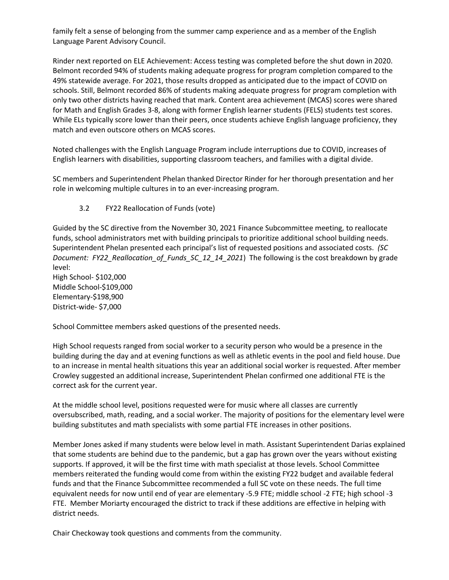family felt a sense of belonging from the summer camp experience and as a member of the English Language Parent Advisory Council.

Rinder next reported on ELE Achievement: Access testing was completed before the shut down in 2020. Belmont recorded 94% of students making adequate progress for program completion compared to the 49% statewide average. For 2021, those results dropped as anticipated due to the impact of COVID on schools. Still, Belmont recorded 86% of students making adequate progress for program completion with only two other districts having reached that mark. Content area achievement (MCAS) scores were shared for Math and English Grades 3-8, along with former English learner students (FELS) students test scores. While ELs typically score lower than their peers, once students achieve English language proficiency, they match and even outscore others on MCAS scores.

Noted challenges with the English Language Program include interruptions due to COVID, increases of English learners with disabilities, supporting classroom teachers, and families with a digital divide.

SC members and Superintendent Phelan thanked Director Rinder for her thorough presentation and her role in welcoming multiple cultures in to an ever-increasing program.

3.2 FY22 Reallocation of Funds (vote)

District-wide- \$7,000

Guided by the SC directive from the November 30, 2021 Finance Subcommittee meeting, to reallocate funds, school administrators met with building principals to prioritize additional school building needs. Superintendent Phelan presented each principal's list of requested positions and associated costs. *(SC Document: FY22\_Reallocation\_of\_Funds\_SC\_12\_14\_2021*) The following is the cost breakdown by grade level: High School- \$102,000 Middle School-\$109,000 Elementary-\$198,900

School Committee members asked questions of the presented needs.

High School requests ranged from social worker to a security person who would be a presence in the building during the day and at evening functions as well as athletic events in the pool and field house. Due to an increase in mental health situations this year an additional social worker is requested. After member Crowley suggested an additional increase, Superintendent Phelan confirmed one additional FTE is the correct ask for the current year.

At the middle school level, positions requested were for music where all classes are currently oversubscribed, math, reading, and a social worker. The majority of positions for the elementary level were building substitutes and math specialists with some partial FTE increases in other positions.

Member Jones asked if many students were below level in math. Assistant Superintendent Darias explained that some students are behind due to the pandemic, but a gap has grown over the years without existing supports. If approved, it will be the first time with math specialist at those levels. School Committee members reiterated the funding would come from within the existing FY22 budget and available federal funds and that the Finance Subcommittee recommended a full SC vote on these needs. The full time equivalent needs for now until end of year are elementary -5.9 FTE; middle school -2 FTE; high school -3 FTE. Member Moriarty encouraged the district to track if these additions are effective in helping with district needs.

Chair Checkoway took questions and comments from the community.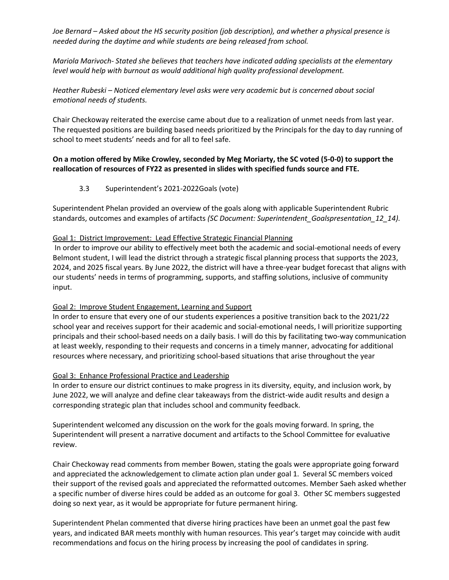*Joe Bernard – Asked about the HS security position (job description), and whether a physical presence is needed during the daytime and while students are being released from school.* 

*Mariola Marivoch- Stated she believes that teachers have indicated adding specialists at the elementary level would help with burnout as would additional high quality professional development.* 

*Heather Rubeski – Noticed elementary level asks were very academic but is concerned about social emotional needs of students.*

Chair Checkoway reiterated the exercise came about due to a realization of unmet needs from last year. The requested positions are building based needs prioritized by the Principals for the day to day running of school to meet students' needs and for all to feel safe.

## **On a motion offered by Mike Crowley, seconded by Meg Moriarty, the SC voted (5-0-0) to support the reallocation of resources of FY22 as presented in slides with specified funds source and FTE.**

3.3 Superintendent's 2021-2022Goals (vote)

Superintendent Phelan provided an overview of the goals along with applicable Superintendent Rubric standards, outcomes and examples of artifacts *(SC Document: Superintendent\_Goalspresentation\_12\_14).* 

#### Goal 1: District Improvement: Lead Effective Strategic Financial Planning

In order to improve our ability to effectively meet both the academic and social-emotional needs of every Belmont student, I will lead the district through a strategic fiscal planning process that supports the 2023, 2024, and 2025 fiscal years. By June 2022, the district will have a three-year budget forecast that aligns with our students' needs in terms of programming, supports, and staffing solutions, inclusive of community input.

#### Goal 2: Improve Student Engagement, Learning and Support

In order to ensure that every one of our students experiences a positive transition back to the 2021/22 school year and receives support for their academic and social-emotional needs, I will prioritize supporting principals and their school-based needs on a daily basis. I will do this by facilitating two-way communication at least weekly, responding to their requests and concerns in a timely manner, advocating for additional resources where necessary, and prioritizing school-based situations that arise throughout the year

#### Goal 3: Enhance Professional Practice and Leadership

In order to ensure our district continues to make progress in its diversity, equity, and inclusion work, by June 2022, we will analyze and define clear takeaways from the district-wide audit results and design a corresponding strategic plan that includes school and community feedback.

Superintendent welcomed any discussion on the work for the goals moving forward. In spring, the Superintendent will present a narrative document and artifacts to the School Committee for evaluative review.

Chair Checkoway read comments from member Bowen, stating the goals were appropriate going forward and appreciated the acknowledgement to climate action plan under goal 1. Several SC members voiced their support of the revised goals and appreciated the reformatted outcomes. Member Saeh asked whether a specific number of diverse hires could be added as an outcome for goal 3. Other SC members suggested doing so next year, as it would be appropriate for future permanent hiring.

Superintendent Phelan commented that diverse hiring practices have been an unmet goal the past few years, and indicated BAR meets monthly with human resources. This year's target may coincide with audit recommendations and focus on the hiring process by increasing the pool of candidates in spring.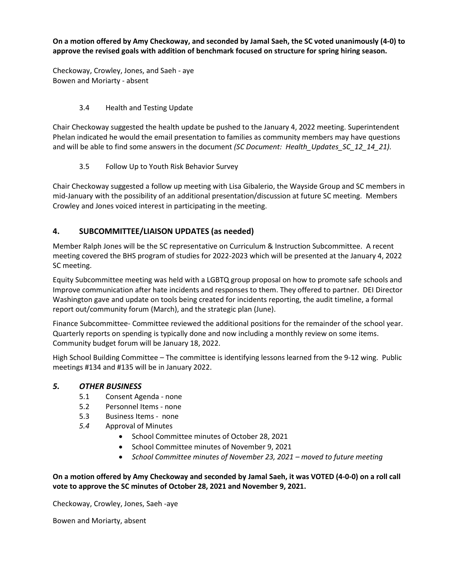**On a motion offered by Amy Checkoway, and seconded by Jamal Saeh, the SC voted unanimously (4-0) to approve the revised goals with addition of benchmark focused on structure for spring hiring season.**

Checkoway, Crowley, Jones, and Saeh - aye Bowen and Moriarty - absent

## 3.4 Health and Testing Update

Chair Checkoway suggested the health update be pushed to the January 4, 2022 meeting. Superintendent Phelan indicated he would the email presentation to families as community members may have questions and will be able to find some answers in the document *(SC Document: Health\_Updates\_SC\_12\_14\_21).*

3.5 Follow Up to Youth Risk Behavior Survey

Chair Checkoway suggested a follow up meeting with Lisa Gibalerio, the Wayside Group and SC members in mid-January with the possibility of an additional presentation/discussion at future SC meeting. Members Crowley and Jones voiced interest in participating in the meeting.

# **4. SUBCOMMITTEE/LIAISON UPDATES (as needed)**

Member Ralph Jones will be the SC representative on Curriculum & Instruction Subcommittee. A recent meeting covered the BHS program of studies for 2022-2023 which will be presented at the January 4, 2022 SC meeting.

Equity Subcommittee meeting was held with a LGBTQ group proposal on how to promote safe schools and Improve communication after hate incidents and responses to them. They offered to partner. DEI Director Washington gave and update on tools being created for incidents reporting, the audit timeline, a formal report out/community forum (March), and the strategic plan (June).

Finance Subcommittee- Committee reviewed the additional positions for the remainder of the school year. Quarterly reports on spending is typically done and now including a monthly review on some items. Community budget forum will be January 18, 2022.

High School Building Committee – The committee is identifying lessons learned from the 9-12 wing. Public meetings #134 and #135 will be in January 2022.

## *5. OTHER BUSINESS*

- 5.1 Consent Agenda none
- 5.2 Personnel Items none
- 5.3 Business Items none
- *5.4* Approval of Minutes
	- School Committee minutes of October 28, 2021
	- School Committee minutes of November 9, 2021
	- *School Committee minutes of November 23, 2021 – moved to future meeting*

**On a motion offered by Amy Checkoway and seconded by Jamal Saeh, it was VOTED (4-0-0) on a roll call vote to approve the SC minutes of October 28, 2021 and November 9, 2021.** 

Checkoway, Crowley, Jones, Saeh -aye

Bowen and Moriarty, absent